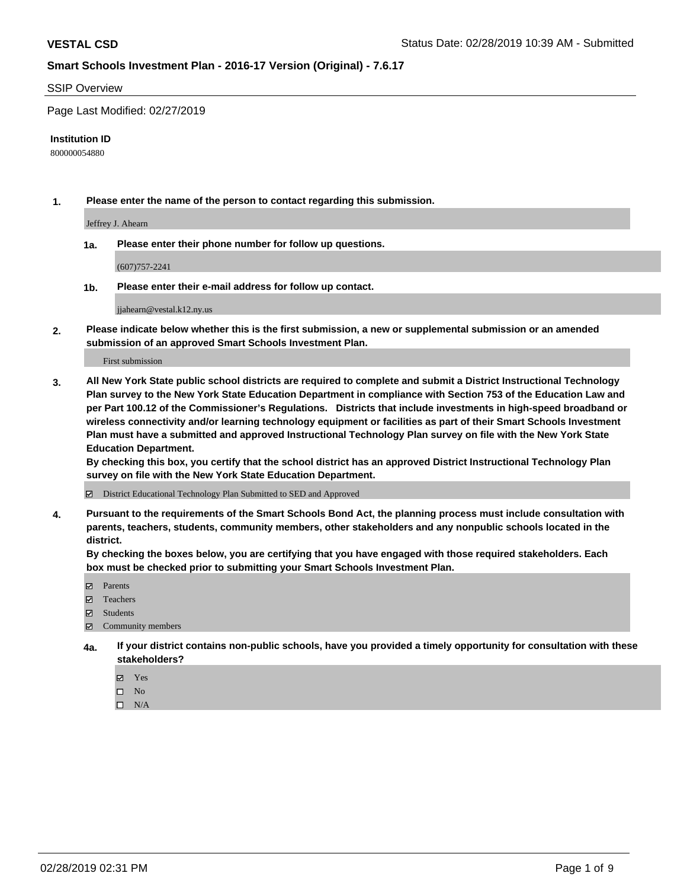#### SSIP Overview

Page Last Modified: 02/27/2019

#### **Institution ID**

800000054880

**1. Please enter the name of the person to contact regarding this submission.**

Jeffrey J. Ahearn

**1a. Please enter their phone number for follow up questions.**

(607)757-2241

**1b. Please enter their e-mail address for follow up contact.**

jjahearn@vestal.k12.ny.us

**2. Please indicate below whether this is the first submission, a new or supplemental submission or an amended submission of an approved Smart Schools Investment Plan.**

First submission

**3. All New York State public school districts are required to complete and submit a District Instructional Technology Plan survey to the New York State Education Department in compliance with Section 753 of the Education Law and per Part 100.12 of the Commissioner's Regulations. Districts that include investments in high-speed broadband or wireless connectivity and/or learning technology equipment or facilities as part of their Smart Schools Investment Plan must have a submitted and approved Instructional Technology Plan survey on file with the New York State Education Department.** 

**By checking this box, you certify that the school district has an approved District Instructional Technology Plan survey on file with the New York State Education Department.**

District Educational Technology Plan Submitted to SED and Approved

**4. Pursuant to the requirements of the Smart Schools Bond Act, the planning process must include consultation with parents, teachers, students, community members, other stakeholders and any nonpublic schools located in the district.** 

**By checking the boxes below, you are certifying that you have engaged with those required stakeholders. Each box must be checked prior to submitting your Smart Schools Investment Plan.**

- **□** Parents
- Teachers
- Students
- $\boxtimes$  Community members
- **4a. If your district contains non-public schools, have you provided a timely opportunity for consultation with these stakeholders?**
	- Yes
	- $\qquad \qquad$  No
	- $\square$  N/A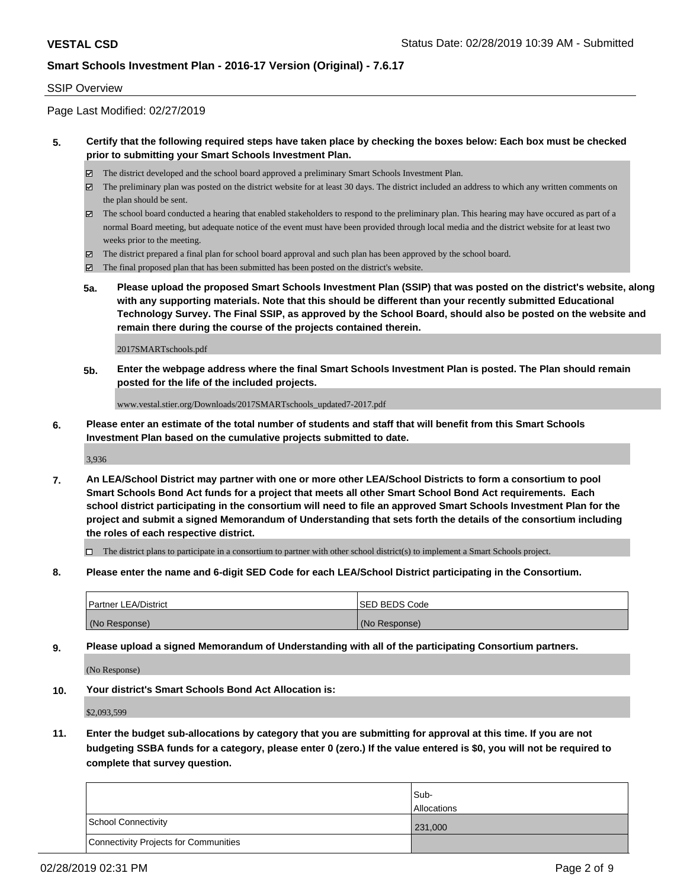### SSIP Overview

Page Last Modified: 02/27/2019

### **5. Certify that the following required steps have taken place by checking the boxes below: Each box must be checked prior to submitting your Smart Schools Investment Plan.**

- The district developed and the school board approved a preliminary Smart Schools Investment Plan.
- $\boxtimes$  The preliminary plan was posted on the district website for at least 30 days. The district included an address to which any written comments on the plan should be sent.
- $\boxtimes$  The school board conducted a hearing that enabled stakeholders to respond to the preliminary plan. This hearing may have occured as part of a normal Board meeting, but adequate notice of the event must have been provided through local media and the district website for at least two weeks prior to the meeting.
- The district prepared a final plan for school board approval and such plan has been approved by the school board.
- $\boxtimes$  The final proposed plan that has been submitted has been posted on the district's website.
- **5a. Please upload the proposed Smart Schools Investment Plan (SSIP) that was posted on the district's website, along with any supporting materials. Note that this should be different than your recently submitted Educational Technology Survey. The Final SSIP, as approved by the School Board, should also be posted on the website and remain there during the course of the projects contained therein.**

2017SMARTschools.pdf

**5b. Enter the webpage address where the final Smart Schools Investment Plan is posted. The Plan should remain posted for the life of the included projects.**

www.vestal.stier.org/Downloads/2017SMARTschools\_updated7-2017.pdf

**6. Please enter an estimate of the total number of students and staff that will benefit from this Smart Schools Investment Plan based on the cumulative projects submitted to date.**

3,936

**7. An LEA/School District may partner with one or more other LEA/School Districts to form a consortium to pool Smart Schools Bond Act funds for a project that meets all other Smart School Bond Act requirements. Each school district participating in the consortium will need to file an approved Smart Schools Investment Plan for the project and submit a signed Memorandum of Understanding that sets forth the details of the consortium including the roles of each respective district.**

 $\Box$  The district plans to participate in a consortium to partner with other school district(s) to implement a Smart Schools project.

**8. Please enter the name and 6-digit SED Code for each LEA/School District participating in the Consortium.**

| <b>Partner LEA/District</b> | <b>ISED BEDS Code</b> |
|-----------------------------|-----------------------|
| (No Response)               | (No Response)         |

**9. Please upload a signed Memorandum of Understanding with all of the participating Consortium partners.**

(No Response)

**10. Your district's Smart Schools Bond Act Allocation is:**

\$2,093,599

**11. Enter the budget sub-allocations by category that you are submitting for approval at this time. If you are not budgeting SSBA funds for a category, please enter 0 (zero.) If the value entered is \$0, you will not be required to complete that survey question.**

|                                              | Sub-               |
|----------------------------------------------|--------------------|
|                                              | <b>Allocations</b> |
| <b>School Connectivity</b>                   | 231,000            |
| <b>Connectivity Projects for Communities</b> |                    |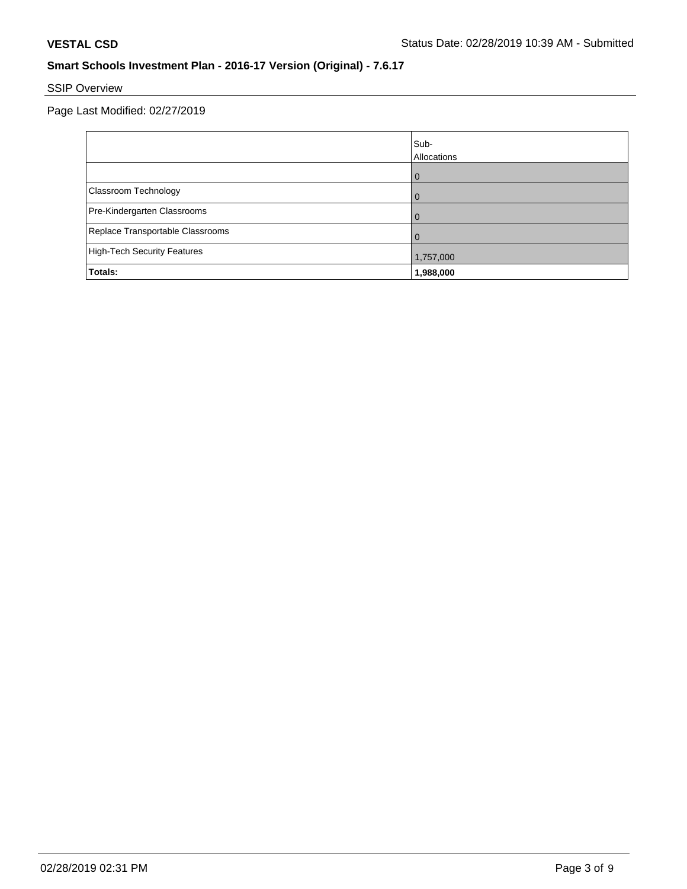## SSIP Overview

Page Last Modified: 02/27/2019

|                                  | Sub-<br>Allocations |
|----------------------------------|---------------------|
|                                  | $\overline{0}$      |
| Classroom Technology             | $\Omega$            |
| Pre-Kindergarten Classrooms      | $\Omega$            |
| Replace Transportable Classrooms | $\Omega$            |
| High-Tech Security Features      | 1,757,000           |
| Totals:                          | 1,988,000           |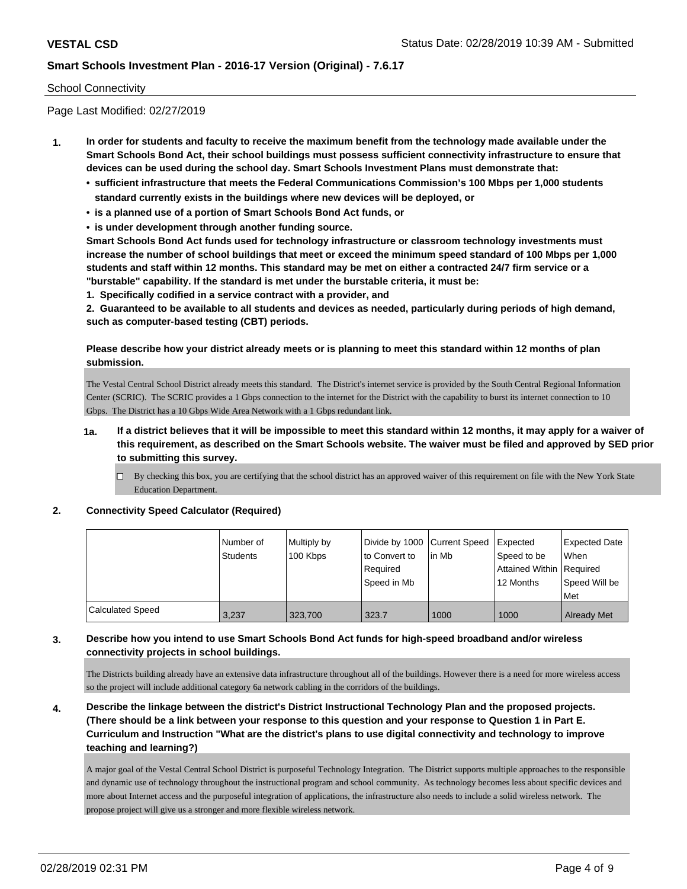#### School Connectivity

Page Last Modified: 02/27/2019

- **1. In order for students and faculty to receive the maximum benefit from the technology made available under the Smart Schools Bond Act, their school buildings must possess sufficient connectivity infrastructure to ensure that devices can be used during the school day. Smart Schools Investment Plans must demonstrate that:**
	- **• sufficient infrastructure that meets the Federal Communications Commission's 100 Mbps per 1,000 students standard currently exists in the buildings where new devices will be deployed, or**
	- **• is a planned use of a portion of Smart Schools Bond Act funds, or**
	- **• is under development through another funding source.**

**Smart Schools Bond Act funds used for technology infrastructure or classroom technology investments must increase the number of school buildings that meet or exceed the minimum speed standard of 100 Mbps per 1,000 students and staff within 12 months. This standard may be met on either a contracted 24/7 firm service or a "burstable" capability. If the standard is met under the burstable criteria, it must be:**

**1. Specifically codified in a service contract with a provider, and**

**2. Guaranteed to be available to all students and devices as needed, particularly during periods of high demand, such as computer-based testing (CBT) periods.**

### **Please describe how your district already meets or is planning to meet this standard within 12 months of plan submission.**

The Vestal Central School District already meets this standard. The District's internet service is provided by the South Central Regional Information Center (SCRIC). The SCRIC provides a 1 Gbps connection to the internet for the District with the capability to burst its internet connection to 10 Gbps. The District has a 10 Gbps Wide Area Network with a 1 Gbps redundant link.

- **1a. If a district believes that it will be impossible to meet this standard within 12 months, it may apply for a waiver of this requirement, as described on the Smart Schools website. The waiver must be filed and approved by SED prior to submitting this survey.**
	- By checking this box, you are certifying that the school district has an approved waiver of this requirement on file with the New York State Education Department.

#### **2. Connectivity Speed Calculator (Required)**

|                         | Number of<br><b>Students</b> | Multiply by<br>100 Kbps | Divide by 1000 Current Speed<br>to Convert to<br>Reauired<br>Speed in Mb | lin Mb | Expected<br>Speed to be<br>Attained Within   Required<br>12 Months | <b>Expected Date</b><br><b>When</b><br>Speed Will be<br>Met |
|-------------------------|------------------------------|-------------------------|--------------------------------------------------------------------------|--------|--------------------------------------------------------------------|-------------------------------------------------------------|
| <b>Calculated Speed</b> | 3.237                        | 323,700                 | 323.7                                                                    | 1000   | 1000                                                               | <b>Already Met</b>                                          |

#### **3. Describe how you intend to use Smart Schools Bond Act funds for high-speed broadband and/or wireless connectivity projects in school buildings.**

The Districts building already have an extensive data infrastructure throughout all of the buildings. However there is a need for more wireless access so the project will include additional category 6a network cabling in the corridors of the buildings.

**4. Describe the linkage between the district's District Instructional Technology Plan and the proposed projects. (There should be a link between your response to this question and your response to Question 1 in Part E. Curriculum and Instruction "What are the district's plans to use digital connectivity and technology to improve teaching and learning?)**

A major goal of the Vestal Central School District is purposeful Technology Integration. The District supports multiple approaches to the responsible and dynamic use of technology throughout the instructional program and school community. As technology becomes less about specific devices and more about Internet access and the purposeful integration of applications, the infrastructure also needs to include a solid wireless network. The propose project will give us a stronger and more flexible wireless network.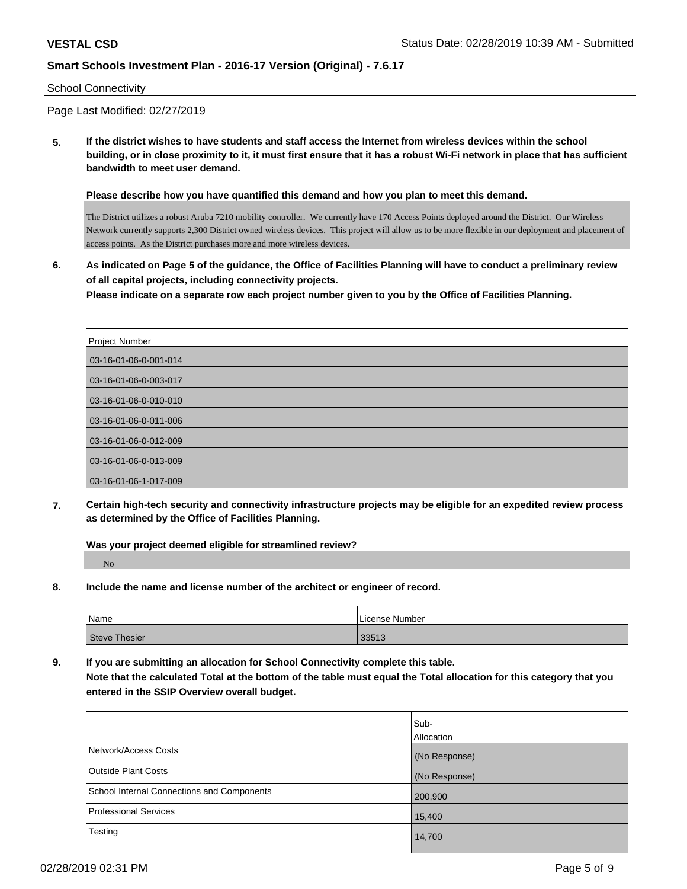#### School Connectivity

Page Last Modified: 02/27/2019

**5. If the district wishes to have students and staff access the Internet from wireless devices within the school building, or in close proximity to it, it must first ensure that it has a robust Wi-Fi network in place that has sufficient bandwidth to meet user demand.**

**Please describe how you have quantified this demand and how you plan to meet this demand.**

The District utilizes a robust Aruba 7210 mobility controller. We currently have 170 Access Points deployed around the District. Our Wireless Network currently supports 2,300 District owned wireless devices. This project will allow us to be more flexible in our deployment and placement of access points. As the District purchases more and more wireless devices.

**6. As indicated on Page 5 of the guidance, the Office of Facilities Planning will have to conduct a preliminary review of all capital projects, including connectivity projects.**

**Please indicate on a separate row each project number given to you by the Office of Facilities Planning.**

| Project Number        |
|-----------------------|
| 03-16-01-06-0-001-014 |
| 03-16-01-06-0-003-017 |
| 03-16-01-06-0-010-010 |
| 03-16-01-06-0-011-006 |
| 03-16-01-06-0-012-009 |
| 03-16-01-06-0-013-009 |
| 03-16-01-06-1-017-009 |

**7. Certain high-tech security and connectivity infrastructure projects may be eligible for an expedited review process as determined by the Office of Facilities Planning.**

**Was your project deemed eligible for streamlined review?** No

**8. Include the name and license number of the architect or engineer of record.**

| <sup>1</sup> Name | License Number |
|-------------------|----------------|
| Steve Thesier     | 33513          |

**9. If you are submitting an allocation for School Connectivity complete this table.**

**Note that the calculated Total at the bottom of the table must equal the Total allocation for this category that you entered in the SSIP Overview overall budget.** 

|                                            | Sub-<br>Allocation |
|--------------------------------------------|--------------------|
| Network/Access Costs                       | (No Response)      |
| <b>Outside Plant Costs</b>                 | (No Response)      |
| School Internal Connections and Components | 200,900            |
| <b>Professional Services</b>               | 15,400             |
| Testing                                    | 14,700             |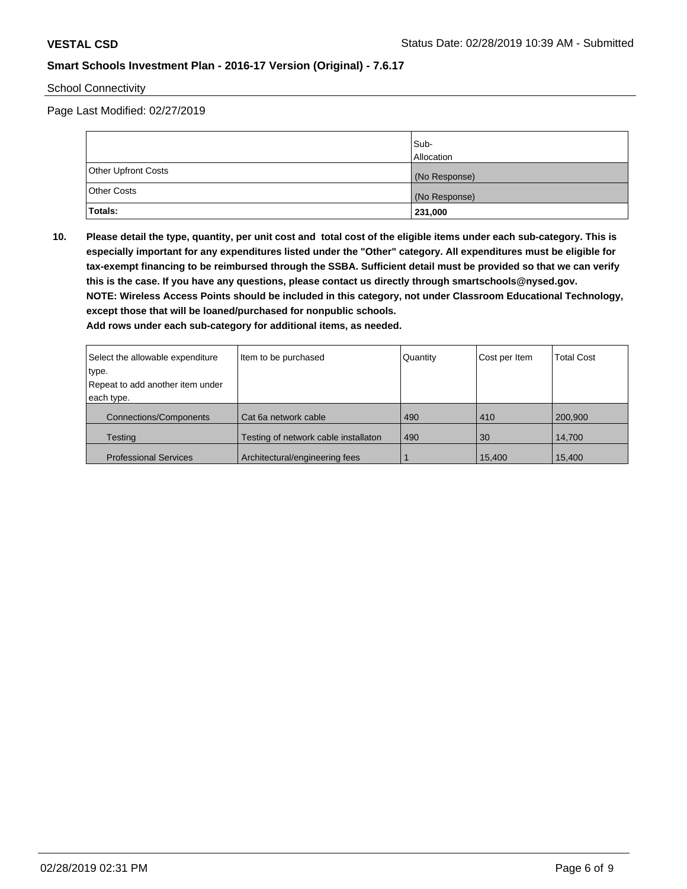School Connectivity

Page Last Modified: 02/27/2019

|                     | lSub-<br><b>Allocation</b> |
|---------------------|----------------------------|
| Other Upfront Costs | (No Response)              |
| <b>Other Costs</b>  | (No Response)              |
| Totals:             | 231,000                    |

**10. Please detail the type, quantity, per unit cost and total cost of the eligible items under each sub-category. This is especially important for any expenditures listed under the "Other" category. All expenditures must be eligible for tax-exempt financing to be reimbursed through the SSBA. Sufficient detail must be provided so that we can verify this is the case. If you have any questions, please contact us directly through smartschools@nysed.gov. NOTE: Wireless Access Points should be included in this category, not under Classroom Educational Technology, except those that will be loaned/purchased for nonpublic schools.**

**Add rows under each sub-category for additional items, as needed.**

| Select the allowable expenditure | Item to be purchased                 | Quantity | Cost per Item | <b>Total Cost</b> |
|----------------------------------|--------------------------------------|----------|---------------|-------------------|
| type.                            |                                      |          |               |                   |
| Repeat to add another item under |                                      |          |               |                   |
| each type.                       |                                      |          |               |                   |
| <b>Connections/Components</b>    | Cat 6a network cable                 | 490      | 410           | 200,900           |
| <b>Testing</b>                   | Testing of network cable installaton | 490      | 30            | 14.700            |
| <b>Professional Services</b>     | Architectural/engineering fees       |          | 15,400        | 15,400            |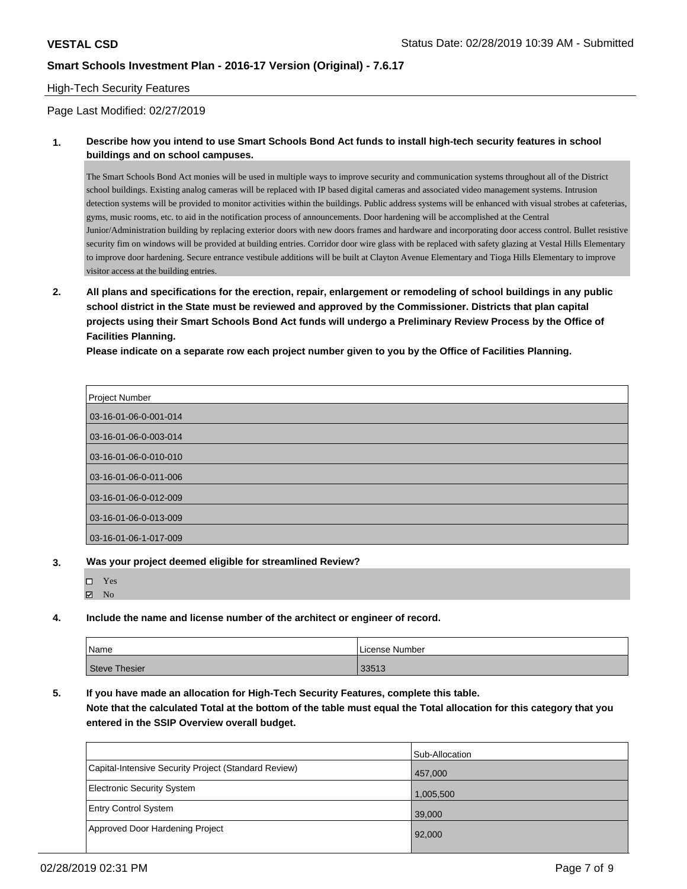#### High-Tech Security Features

Page Last Modified: 02/27/2019

### **1. Describe how you intend to use Smart Schools Bond Act funds to install high-tech security features in school buildings and on school campuses.**

The Smart Schools Bond Act monies will be used in multiple ways to improve security and communication systems throughout all of the District school buildings. Existing analog cameras will be replaced with IP based digital cameras and associated video management systems. Intrusion detection systems will be provided to monitor activities within the buildings. Public address systems will be enhanced with visual strobes at cafeterias, gyms, music rooms, etc. to aid in the notification process of announcements. Door hardening will be accomplished at the Central Junior/Administration building by replacing exterior doors with new doors frames and hardware and incorporating door access control. Bullet resistive security fim on windows will be provided at building entries. Corridor door wire glass with be replaced with safety glazing at Vestal Hills Elementary to improve door hardening. Secure entrance vestibule additions will be built at Clayton Avenue Elementary and Tioga Hills Elementary to improve visitor access at the building entries.

**2. All plans and specifications for the erection, repair, enlargement or remodeling of school buildings in any public school district in the State must be reviewed and approved by the Commissioner. Districts that plan capital projects using their Smart Schools Bond Act funds will undergo a Preliminary Review Process by the Office of Facilities Planning.** 

**Please indicate on a separate row each project number given to you by the Office of Facilities Planning.**

| Project Number        |
|-----------------------|
| 03-16-01-06-0-001-014 |
| 03-16-01-06-0-003-014 |
| 03-16-01-06-0-010-010 |
| 03-16-01-06-0-011-006 |
| 03-16-01-06-0-012-009 |
| 03-16-01-06-0-013-009 |
| 03-16-01-06-1-017-009 |

**3. Was your project deemed eligible for streamlined Review?**

| □ | Yes            |  |
|---|----------------|--|
| ☑ | N <sub>0</sub> |  |

**4. Include the name and license number of the architect or engineer of record.**

| Name                 | License Number |
|----------------------|----------------|
| <b>Steve Thesier</b> | 33513          |

**5. If you have made an allocation for High-Tech Security Features, complete this table. Note that the calculated Total at the bottom of the table must equal the Total allocation for this category that you entered in the SSIP Overview overall budget.**

|                                                      | Sub-Allocation |
|------------------------------------------------------|----------------|
| Capital-Intensive Security Project (Standard Review) | 457,000        |
| Electronic Security System                           | 1,005,500      |
| <b>Entry Control System</b>                          | 39,000         |
| Approved Door Hardening Project                      | 92,000         |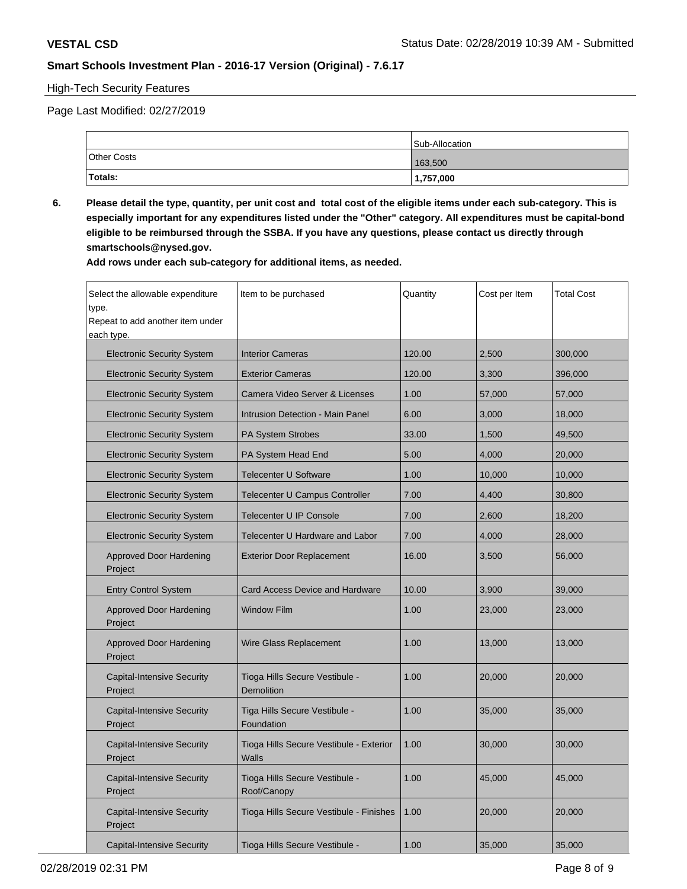### High-Tech Security Features

Page Last Modified: 02/27/2019

|                    | Sub-Allocation |
|--------------------|----------------|
| <b>Other Costs</b> | 163,500        |
| Totals:            | 1,757,000      |

**6. Please detail the type, quantity, per unit cost and total cost of the eligible items under each sub-category. This is especially important for any expenditures listed under the "Other" category. All expenditures must be capital-bond eligible to be reimbursed through the SSBA. If you have any questions, please contact us directly through smartschools@nysed.gov.**

**Add rows under each sub-category for additional items, as needed.**

| Select the allowable expenditure<br>type.<br>Repeat to add another item under<br>each type. | Item to be purchased                             | Quantity | Cost per Item | <b>Total Cost</b> |
|---------------------------------------------------------------------------------------------|--------------------------------------------------|----------|---------------|-------------------|
| <b>Electronic Security System</b>                                                           | <b>Interior Cameras</b>                          | 120.00   | 2,500         | 300,000           |
| <b>Electronic Security System</b>                                                           | <b>Exterior Cameras</b>                          | 120.00   | 3,300         | 396,000           |
| <b>Electronic Security System</b>                                                           | Camera Video Server & Licenses                   | 1.00     | 57,000        | 57,000            |
| <b>Electronic Security System</b>                                                           | <b>Intrusion Detection - Main Panel</b>          | 6.00     | 3,000         | 18,000            |
| <b>Electronic Security System</b>                                                           | PA System Strobes                                | 33.00    | 1,500         | 49,500            |
| <b>Electronic Security System</b>                                                           | PA System Head End                               | 5.00     | 4,000         | 20,000            |
| <b>Electronic Security System</b>                                                           | <b>Telecenter U Software</b>                     | 1.00     | 10,000        | 10,000            |
| <b>Electronic Security System</b>                                                           | Telecenter U Campus Controller                   | 7.00     | 4,400         | 30,800            |
| <b>Electronic Security System</b>                                                           | Telecenter U IP Console                          | 7.00     | 2,600         | 18,200            |
| <b>Electronic Security System</b>                                                           | Telecenter U Hardware and Labor                  | 7.00     | 4,000         | 28,000            |
| <b>Approved Door Hardening</b><br>Project                                                   | <b>Exterior Door Replacement</b>                 | 16.00    | 3,500         | 56,000            |
| <b>Entry Control System</b>                                                                 | <b>Card Access Device and Hardware</b>           | 10.00    | 3,900         | 39,000            |
| <b>Approved Door Hardening</b><br>Project                                                   | <b>Window Film</b>                               | 1.00     | 23,000        | 23,000            |
| <b>Approved Door Hardening</b><br>Project                                                   | Wire Glass Replacement                           | 1.00     | 13,000        | 13,000            |
| <b>Capital-Intensive Security</b><br>Project                                                | Tioga Hills Secure Vestibule -<br>Demolition     | 1.00     | 20,000        | 20,000            |
| <b>Capital-Intensive Security</b><br>Project                                                | Tiga Hills Secure Vestibule -<br>Foundation      | 1.00     | 35,000        | 35,000            |
| <b>Capital-Intensive Security</b><br>Project                                                | Tioga Hills Secure Vestibule - Exterior<br>Walls | 1.00     | 30,000        | 30,000            |
| <b>Capital-Intensive Security</b><br>Project                                                | Tioga Hills Secure Vestibule -<br>Roof/Canopy    | 1.00     | 45,000        | 45,000            |
| <b>Capital-Intensive Security</b><br>Project                                                | Tioga Hills Secure Vestibule - Finishes          | 1.00     | 20,000        | 20,000            |
| Capital-Intensive Security                                                                  | Tioga Hills Secure Vestibule -                   | 1.00     | 35,000        | 35,000            |